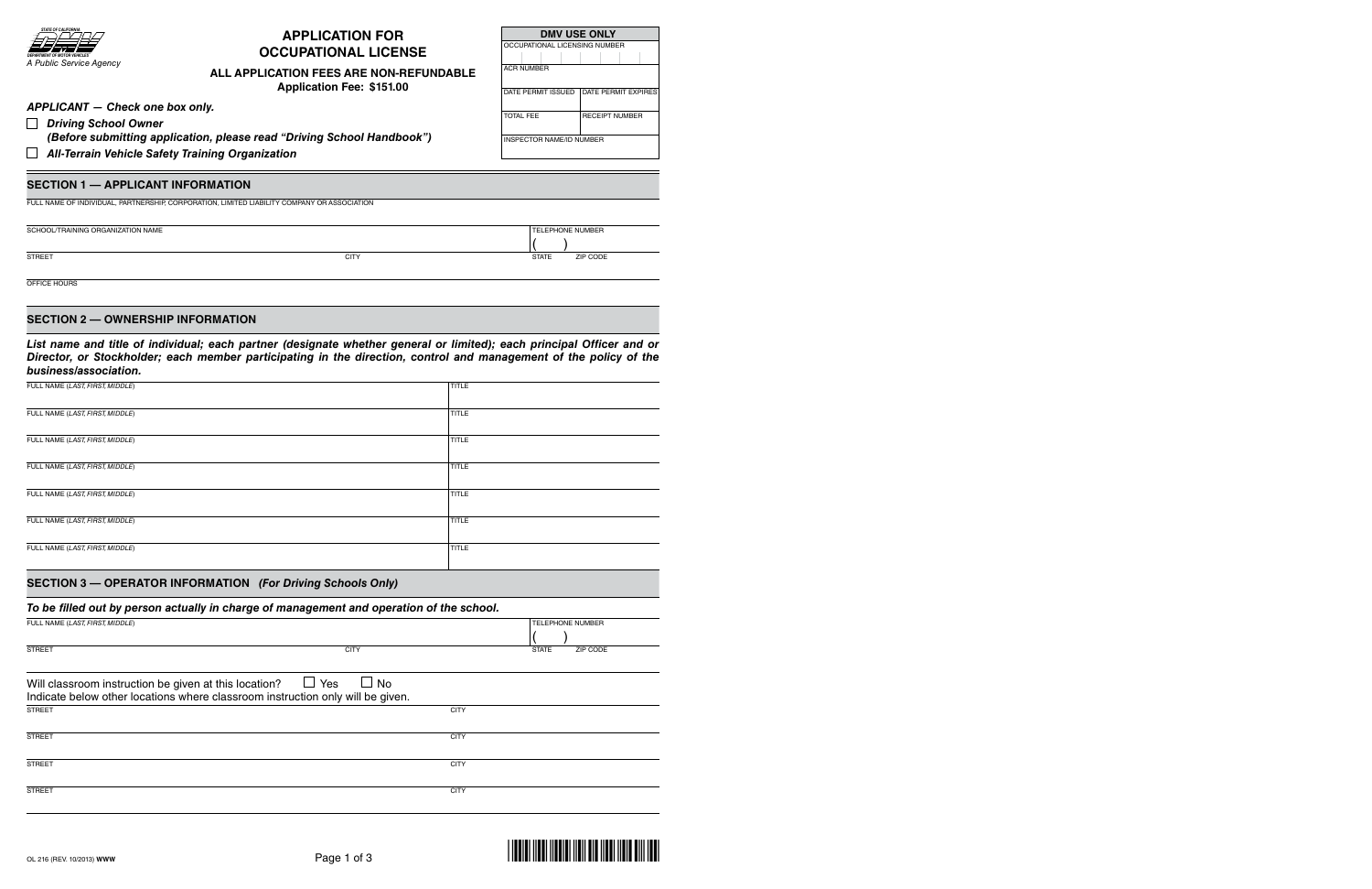

# **APPLICATION FOR OCCUPATIONAL LICENSE**

# **ALL APPLICATION FEES ARE NON-REFUNDABLE**

**Application Fee: \$151.00**

| <b>DMV USE ONLY</b>                       |                       |  |
|-------------------------------------------|-----------------------|--|
| OCCUPATIONAL LICENSING NUMBER             |                       |  |
|                                           |                       |  |
| <b>ACR NUMBER</b>                         |                       |  |
|                                           |                       |  |
| DATE PERMIT ISSUED<br>DATE PERMIT EXPIRES |                       |  |
|                                           |                       |  |
| TOTAI FFF                                 | <b>RECEIPT NUMBER</b> |  |
|                                           |                       |  |
| <b>INSPECTOR NAME/ID NUMBER</b>           |                       |  |

( )

*APPLICANT — Check one box only.*

*(Before submitting application, please read "Driving School Handbook")*

 *All-Terrain Vehicle Safety Training Organization*

# **SECTION 1 — APPLICANT INFORmATION**

FuLL NamE OF INdIVIduaL, PaRtNERshIP, CORPORatION, LImItEd LIabILIty COmPaNy OR assOCIatION

sCHOOL/TRAINING ORGANIZATION NAME television was a structured by the contract of the contract of the contract of the contract of the contract of the contract of the contract of the contract of the contract of the contract

*Driving School Owner* 

STREET STATE ZIP CODE STATE STATE STATE STATE STATE STATE STATE STATE STATE STATE STATE SIP CODE

OFFICE hOuRs

## **SECTION 2 — OWNERShIP INFORmATION**

*List name and title of individual; each partner (designate whether general or limited); each principal Officer and or Director, or Stockholder; each member participating in the direction, control and management of the policy of the business/association.*

| FULL NAME (LAST, FIRST, MIDDLE) | <b>TITLE</b> |
|---------------------------------|--------------|
| FULL NAME (LAST, FIRST, MIDDLE) | <b>TITLE</b> |
| FULL NAME (LAST, FIRST, MIDDLE) | TITLE        |
| FULL NAME (LAST, FIRST, MIDDLE) | <b>TITLE</b> |
| FULL NAME (LAST, FIRST, MIDDLE) | TITLE        |
| FULL NAME (LAST, FIRST, MIDDLE) | TITLE        |
| FULL NAME (LAST, FIRST, MIDDLE) | TITLE        |

## **SECTION 3 — OPERATOR INFORmATION** *(For Driving Schools Only)*

## *To be filled out by person actually in charge of management and operation of the school.*

| FULL NAME (LAST, FIRST, MIDDLE)                                                |                  |             |                          |
|--------------------------------------------------------------------------------|------------------|-------------|--------------------------|
|                                                                                |                  |             |                          |
| <b>STREET</b>                                                                  | <b>CITY</b>      |             | <b>STATE</b><br>ZIP CODE |
|                                                                                |                  |             |                          |
| Will classroom instruction be given at this location?                          | $\Box$ Yes<br>No |             |                          |
| Indicate below other locations where classroom instruction only will be given. |                  |             |                          |
| <b>STREET</b>                                                                  |                  | <b>CITY</b> |                          |
|                                                                                |                  |             |                          |
| <b>STREET</b>                                                                  |                  | <b>CITY</b> |                          |
|                                                                                |                  |             |                          |
| <b>STREET</b>                                                                  |                  | <b>CITY</b> |                          |
|                                                                                |                  |             |                          |
| <b>STREET</b>                                                                  |                  | <b>CITY</b> |                          |
|                                                                                |                  |             |                          |

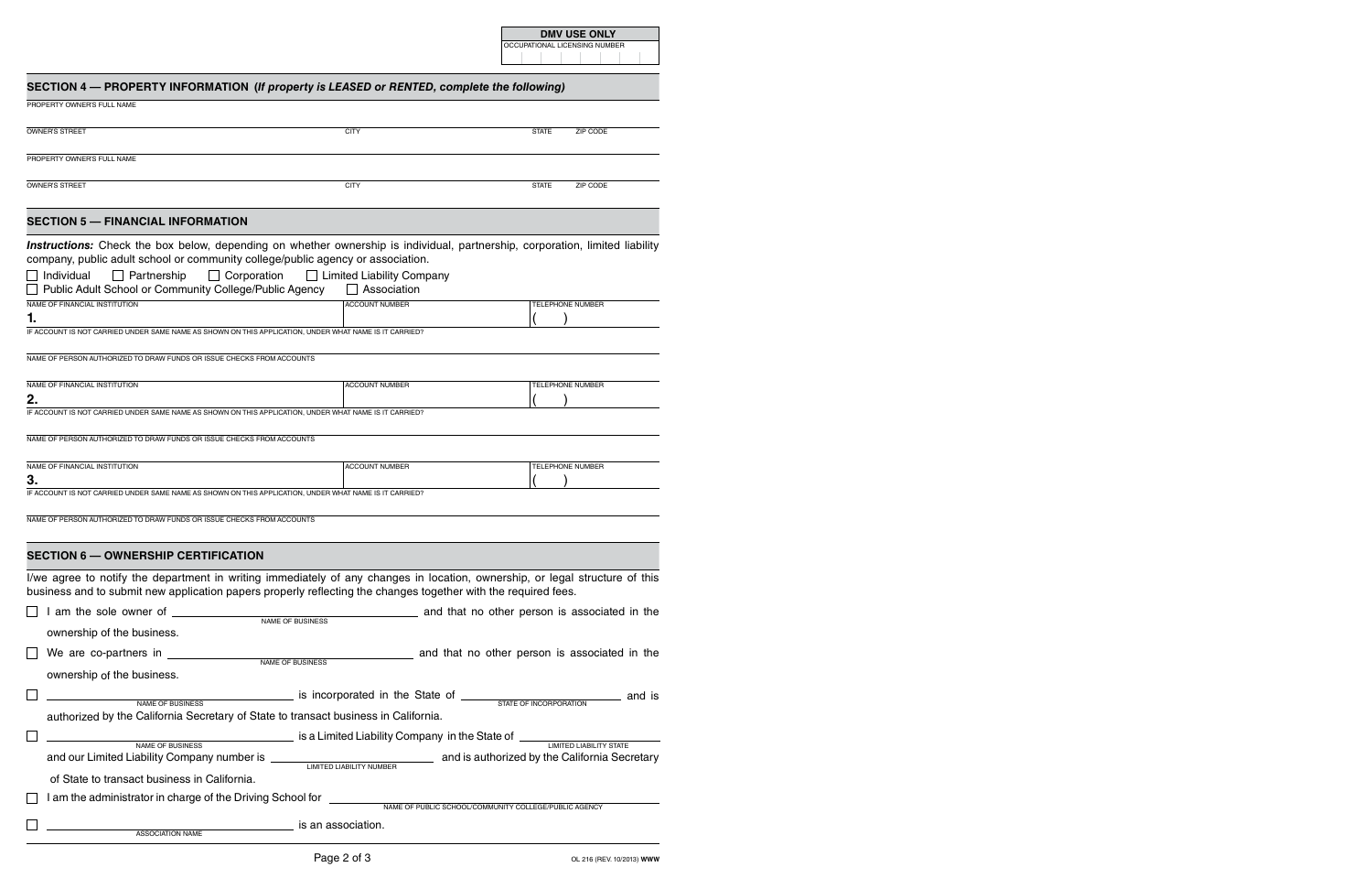OCCUPATIONAL LICENSING NUMBER

# SECTION 4 - PROPERTY INFORMATION (If property is LEASED or RENTED, complete the following)

| PROPERTY OWNER'S FULL NAME                                                                                                                                                                                                                     |                                                                                                |                                                       |
|------------------------------------------------------------------------------------------------------------------------------------------------------------------------------------------------------------------------------------------------|------------------------------------------------------------------------------------------------|-------------------------------------------------------|
| <b>OWNER'S STREET</b>                                                                                                                                                                                                                          | <b>CITY</b>                                                                                    | ZIP CODE<br><b>STATE</b>                              |
| PROPERTY OWNER'S FULL NAME                                                                                                                                                                                                                     |                                                                                                |                                                       |
| <b>OWNER'S STREET</b>                                                                                                                                                                                                                          | <b>CITY</b>                                                                                    | ZIP CODE<br><b>STATE</b>                              |
| <b>SECTION 5 - FINANCIAL INFORMATION</b>                                                                                                                                                                                                       |                                                                                                |                                                       |
| Instructions: Check the box below, depending on whether ownership is individual, partnership, corporation, limited liability<br>company, public adult school or community college/public agency or association.                                |                                                                                                |                                                       |
| $\Box$ Corporation<br>  Individual<br>$\Box$ Partnership<br>Public Adult School or Community College/Public Agency                                                                                                                             | $\Box$ Limited Liability Company<br>Association                                                |                                                       |
| NAME OF FINANCIAL INSTITUTION<br>1.                                                                                                                                                                                                            | <b>ACCOUNT NUMBER</b>                                                                          | TELEPHONE NUMBER                                      |
| IF ACCOUNT IS NOT CARRIED UNDER SAME NAME AS SHOWN ON THIS APPLICATION, UNDER WHAT NAME IS IT CARRIED?                                                                                                                                         |                                                                                                |                                                       |
| NAME OF PERSON AUTHORIZED TO DRAW FUNDS OR ISSUE CHECKS FROM ACCOUNTS                                                                                                                                                                          |                                                                                                |                                                       |
| NAME OF FINANCIAL INSTITUTION<br>2.                                                                                                                                                                                                            | <b>ACCOUNT NUMBER</b>                                                                          | <b>TELEPHONE NUMBER</b>                               |
| IF ACCOUNT IS NOT CARRIED UNDER SAME NAME AS SHOWN ON THIS APPLICATION, UNDER WHAT NAME IS IT CARRIED?                                                                                                                                         |                                                                                                |                                                       |
| NAME OF PERSON AUTHORIZED TO DRAW FUNDS OR ISSUE CHECKS FROM ACCOUNTS                                                                                                                                                                          |                                                                                                |                                                       |
| NAME OF FINANCIAL INSTITUTION<br>3.<br>IF ACCOUNT IS NOT CARRIED UNDER SAME NAME AS SHOWN ON THIS APPLICATION, UNDER WHAT NAME IS IT CARRIED?                                                                                                  | <b>ACCOUNT NUMBER</b>                                                                          | <b>TELEPHONE NUMBER</b>                               |
| NAME OF PERSON AUTHORIZED TO DRAW FUNDS OR ISSUE CHECKS FROM ACCOUNTS                                                                                                                                                                          |                                                                                                |                                                       |
| <b>SECTION 6 - OWNERSHIP CERTIFICATION</b>                                                                                                                                                                                                     |                                                                                                |                                                       |
| I/we agree to notify the department in writing immediately of any changes in location, ownership, or legal structure of this<br>business and to submit new application papers properly reflecting the changes together with the required fees. |                                                                                                |                                                       |
|                                                                                                                                                                                                                                                | NAME OF BUSINESS                                                                               | and that no other person is associated in the         |
| ownership of the business.<br>口。                                                                                                                                                                                                               |                                                                                                | and that no other person is associated in the         |
| ownership of the business.                                                                                                                                                                                                                     |                                                                                                |                                                       |
| NAME OF BUSINESS                                                                                                                                                                                                                               | is incorporated in the State of <b>CONSTANT CONSTANT AND REAL AND REAL AND REAL AND</b> and is |                                                       |
| authorized by the California Secretary of State to transact business in California.                                                                                                                                                            |                                                                                                |                                                       |
| NAME OF BUSINESS                                                                                                                                                                                                                               | is a Limited Liability Company in the State of ____                                            | <b>LIMITED LIABILITY STATE</b>                        |
|                                                                                                                                                                                                                                                |                                                                                                |                                                       |
| of State to transact business in California.                                                                                                                                                                                                   |                                                                                                |                                                       |
| I am the administrator in charge of the Driving School for ______                                                                                                                                                                              |                                                                                                | NAME OF PUBLIC SCHOOL/COMMUNITY COLLEGE/PUBLIC AGENCY |

is an association.

ASSOCIATION NAME